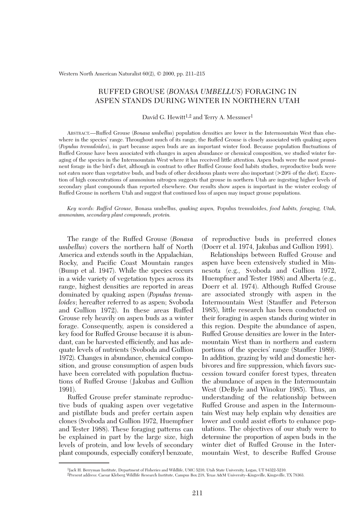Western North American Naturalist 60(2), © 2000, pp. 211–215

# RUFFED GROUSE (*BONASA UMBELLUS*) FORAGING IN ASPEN STANDS DURING WINTER IN NORTHERN UTAH

## David G. Hewitt<sup>1,2</sup> and Terry A. Messmer<sup>1</sup>

ABSTRACT.—Ruffed Grouse (*Bonasa umbellus*) population densities are lower in the Intermountain West than elsewhere in the species' range. Throughout much of its range, the Ruffed Grouse is closely associated with quaking aspen (*Populus tremuloides*), in part because aspen buds are an important winter food. Because population fluctuations of Ruffed Grouse have been associated with changes in aspen abundance or chemical composition, we studied winter foraging of the species in the Intermountain West where it has received little attention. Aspen buds were the most prominent forage in the bird's diet, although in contrast to other Ruffed Grouse food habits studies, reproductive buds were not eaten more than vegetative buds, and buds of other deciduous plants were also important (>20% of the diet). Excretion of high concentrations of ammonium nitrogen suggests that grouse in northern Utah are ingesting higher levels of secondary plant compounds than reported elsewhere. Our results show aspen is important in the winter ecology of Ruffed Grouse in northern Utah and suggest that continued loss of aspen may impact grouse populations.

*Key words: Ruffed Grouse,* Bonasa umbellus, *quaking aspen,* Populus tremuloides, *food habits, foraging, Utah, ammonium, secondary plant compounds, protein.*

The range of the Ruffed Grouse (*Bonasa umbellus*) covers the northern half of North America and extends south in the Appalachian, Rocky, and Pacific Coast Mountain ranges (Bump et al. 1947). While the species occurs in a wide variety of vegetation types across its range, highest densities are reported in areas dominated by quaking aspen (*Populus tremuloides*; hereafter referred to as aspen; Svoboda and Gullion 1972). In these areas Ruffed Grouse rely heavily on aspen buds as a winter forage. Consequently, aspen is considered a key food for Ruffed Grouse because it is abundant, can be harvested efficiently, and has adequate levels of nutrients (Svoboda and Gullion 1972). Changes in abundance, chemical composition, and grouse consumption of aspen buds have been correlated with population fluctuations of Ruffed Grouse (Jakubas and Gullion 1991).

Ruffed Grouse prefer staminate reproductive buds of quaking aspen over vegetative and pistillate buds and prefer certain aspen clones (Svoboda and Gullion 1972, Huempfner and Tester 1988). These foraging patterns can be explained in part by the large size, high levels of protein, and low levels of secondary plant compounds, especially coniferyl benzoate, of reproductive buds in preferred clones (Doerr et al. 1974, Jakubas and Gullion 1991).

Relationships between Ruffed Grouse and aspen have been extensively studied in Minnesota (e.g., Svoboda and Gullion 1972, Huempfner and Tester 1988) and Alberta (e.g., Doerr et al. 1974). Although Ruffed Grouse are associated strongly with aspen in the Intermountain West (Stauffer and Peterson 1985), little research has been conducted on their foraging in aspen stands during winter in this region. Despite the abundance of aspen, Ruffed Grouse densities are lower in the Intermountain West than in northern and eastern portions of the species' range (Stauffer 1989). In addition, grazing by wild and domestic herbivores and fire suppression, which favors succession toward conifer forest types, threaten the abundance of aspen in the Intermountain West (DeByle and Winokur 1985). Thus, an understanding of the relationship between Ruffed Grouse and aspen in the Intermountain West may help explain why densities are lower and could assist efforts to enhance populations. The objectives of our study were to determine the proportion of aspen buds in the winter diet of Ruffed Grouse in the Intermountain West, to describe Ruffed Grouse

<sup>1</sup>Jack H. Berryman Institute, Department of Fisheries and Wildlife, UMC 5210, Utah State University, Logan, UT 84322-5210. 2Present address: Caesar Kleberg Wildlife Research Institute, Campus Box 218, Texas A&M University–Kingsville, Kingsville, TX 78363.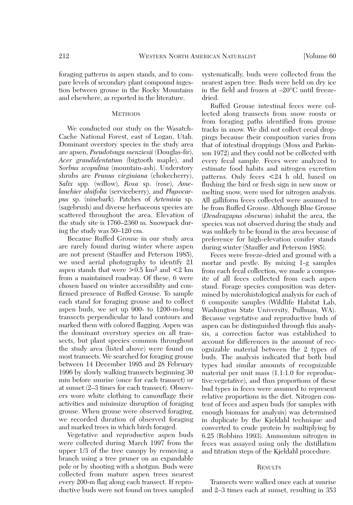foraging patterns in aspen stands, and to compare levels of secondary plant compound ingestion between grouse in the Rocky Mountains and elsewhere, as reported in the literature.

#### **METHODS**

We conducted our study on the Wasatch-Cache National Forest, east of Logan, Utah. Dominant overstory species in the study area are apsen, *Pseudotsuga menziesii* (Douglas-fir), *Acer grandidentatum* (bigtooth maple), and *Sorbus scopulina* (mountain-ash). Understory shrubs are *Prunus virginiana* (chokecherry), *Salix* spp. (willow), *Rosa* sp. (rose), *Amelanchier alnifolia* (serviceberry), and *Physocarpus* sp. (ninebark). Patches of *Artemisia* sp. (sagebrush) and diverse herbaceous species are scattered throughout the area. Elevation of the study site is 1760–2360 m. Snowpack during the study was 50–120 cm.

Because Ruffed Grouse in our study area are rarely found during winter where aspen are not present (Stauffer and Peterson 1985), we used aerial photography to identify 21 aspen stands that were  $> 0.5$  km<sup>2</sup> and  $< 2$  km from a maintained roadway. Of these, 6 were chosen based on winter accessibility and confirmed presence of Ruffed Grouse. To sample each stand for foraging grouse and to collect aspen buds, we set up 900- to 1200-m-long transects perpendicular to land contours and marked them with colored flagging. Aspen was the dominant overstory species on all transects, but plant species common throughout the study area (listed above) were found on most transects. We searched for foraging grouse between 14 December 1995 and 28 February 1996 by slowly walking transects beginning 30 min before sunrise (once for each transect) or at sunset (2–3 times for each transect). Observers wore white clothing to camouflage their activities and minimize disruption of foraging grouse. When grouse were observed foraging, we recorded duration of observed foraging and marked trees in which birds foraged.

Vegetative and reproductive aspen buds were collected during March 1997 from the upper 1/3 of the tree canopy by removing a branch using a tree pruner on an expandable pole or by shooting with a shotgun. Buds were collected from mature aspen trees nearest every 200-m flag along each transect. If reproductive buds were not found on trees sampled systematically, buds were collected from the nearest aspen tree. Buds were held on dry ice in the field and frozen at –20°C until freezedried.

Ruffed Grouse intestinal feces were collected along transects from snow roosts or from foraging paths identified from grouse tracks in snow. We did not collect cecal droppings because their composition varies from that of intestinal droppings (Moss and Parkinson 1972) and they could not be collected with every fecal sample. Feces were analyzed to estimate food habits and nitrogen excretion patterns. Only feces <24 h old, based on flushing the bird or fresh sign in new snow or melting snow, were used for nitrogen analysis. All galliform feces collected were assumed to be from Ruffed Grouse. Although Blue Grouse (*Dendragapus obscurus*) inhabit the area, the species was not observed during the study and was unlikely to be found in the area because of preference for high-elevation conifer stands during winter (Stauffer and Peterson 1985).

Feces were freeze-dried and ground with a mortar and pestle. By mixing 1-g samples from each fecal collection, we made a composite of all feces collected from each aspen stand. Forage species composition was determined by microhistological analysis for each of 6 composite samples (Wildlife Habitat Lab, Washington State University, Pullman, WA). Because vegetative and reproductive buds of aspen can be distinguished through this analysis, a correction factor was established to account for differences in the amount of recognizable material between the 2 types of buds. The analysis indicated that both bud types had similar amounts of recognizable material per unit mass (1.1:1.0 for reproductive:vegetative), and thus proportions of these bud types in feces were assumed to represent relative proportions in the diet. Nitrogen content of feces and aspen buds (for samples with enough biomass for analysis) was determined in duplicate by the Kjeldahl technique and converted to crude protein by multiplying by 6.25 (Robbins 1993). Ammonium nitrogen in feces was assayed using only the distillation and titration steps of the Kjeldahl procedure.

#### **RESULTS**

Transects were walked once each at sunrise and 2–3 times each at sunset, resulting in 353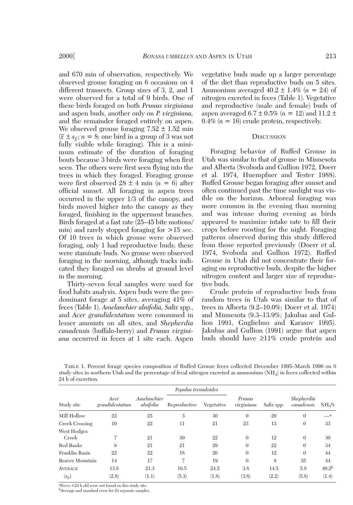and 670 min of observation, respectively. We observed grouse foraging on 6 occasions on 4 different transects. Group sizes of 3, 2, and 1 were observed for a total of 9 birds. One of these birds foraged on both *Prunus virginiana* and aspen buds, another only on *P. virginiana,* and the remainder foraged entirely on aspen. We observed grouse foraging  $7.52 \pm 1.52$  min  $(\bar{x} \pm s_{\bar{x}}; n = 8; \text{ one bird in a group of 3 was not})$ fully visible while foraging). This is a minimum estimate of the duration of foraging bouts because 3 birds were foraging when first seen. The others were first seen flying into the trees in which they foraged. Foraging grouse were first observed  $28 \pm 4$  min ( $n = 6$ ) after official sunset. All foraging in aspen trees occurred in the upper 1/3 of the canopy, and birds moved higher into the canopy as they foraged, finishing in the uppermost branches. Birds foraged at a fast rate (25–45 bite motions/ min) and rarely stopped foraging for >15 sec. Of 10 trees in which grouse were observed foraging, only 1 had reproductive buds; these were staminate buds. No grouse were observed foraging in the morning, although tracks indicated they foraged on shrubs at ground level in the morning.

Thirty-seven fecal samples were used for food habits analysis. Aspen buds were the predominant forage at 5 sites, averaging 41% of feces (Table 1). *Amelanchier alnifolia, Salix* spp., and *Acer grandidentatum* were consumed in lesser amounts on all sites, and *Shepherdia canadensis* (buffalo-berry) and *Prunus virginiana* occurred in feces at 1 site each. Aspen vegetative buds made up a larger percentage of the diet than reproductive buds on 5 sites. Ammonium averaged  $40.2 \pm 1.4\%$  ( $n = 24$ ) of nitrogen excreted in feces (Table 1). Vegetative and reproductive (male and female) buds of aspen averaged  $6.7 \pm 0.5\%$  ( $n = 12$ ) and  $11.2 \pm 1$  $0.4\%$  ( $n = 16$ ) crude protein, respectively.

#### **DISCUSSION**

Foraging behavior of Ruffed Grouse in Utah was similar to that of grouse in Minnesota and Alberta (Svoboda and Gullion 1972, Doerr et al. 1974, Huempfner and Tester 1988). Ruffed Grouse began foraging after sunset and often continued past the time sunlight was visible on the horizon. Arboreal foraging was more common in the evening than morning and was intense during evening as birds appeared to maximize intake rate to fill their crops before roosting for the night. Foraging patterns observed during this study differed from those reported previously (Doerr et al. 1974, Svoboda and Gullion 1972). Ruffed Grouse in Utah did not concentrate their foraging on reproductive buds, despite the higher nitrogen content and larger size of reproductive buds.

Crude protein of reproductive buds from random trees in Utah was similar to that of trees in Alberta (9.2–10.0%; Doerr et al. 1974) and Minnesota (9.3–13.9%; Jakubas and Gullion 1991, Guglielmo and Karasov 1995). Jakubas and Gullion (1991) argue that aspen buds should have ≥11% crude protein and

TABLE 1. Percent forage species composition of Ruffed Grouse feces collected December 1995–March 1996 on 6 study sites in northern Utah and the percentage of fecal nitrogen excreted as ammonium (NH4) in feces collected within 24 h of excretion.

| Study site           |                        | Amelanchier<br>alnifolia | Populus tremuloides |            |                      |            |                          |                       |
|----------------------|------------------------|--------------------------|---------------------|------------|----------------------|------------|--------------------------|-----------------------|
|                      | Acer<br>grandidentatum |                          | Reproductive        | Vegetative | Prunus<br>virginiana | Salix spp. | Shepherdia<br>canadensis | $NH_{4}\%$            |
| Mill Hollow          | 22                     | 25                       | 3                   | 30         | $\theta$             | 20         | $\Omega$                 | $\equiv$ <sup>a</sup> |
| Creek Crossing       | 10                     | 22                       | 11                  | 21         | 23                   | 13         | $\theta$                 | 33                    |
| West Hodges<br>Creek |                        | 21                       | 39                  | 22         | $\Omega$             | 12         | $\theta$                 | 30                    |
| Red Banks            | 8                      | 21                       | 21                  | 29         | $\theta$             | 22         | $\theta$                 | 34                    |
| Franklin Basin       | 22                     | 22                       | 18                  | 26         | $\Omega$             | 12         | $\theta$                 | 44                    |
| Beaver Mountain      | 14                     | 17                       | 7                   | 19         | $\theta$             | 8          | 35                       | 44                    |
| <b>AVERAGE</b>       | 13.8                   | 21.3                     | 16.5                | 24.5       | 3.8                  | 14.5       | 5.8                      | 40.2 <sup>b</sup>     |
| $(s_{\overline{x}})$ | (2.8)                  | (1.1)                    | (5.3)               | (1.8)      | (3.8)                | (2.2)      | (5.8)                    | (1.4)                 |

aFeces <24 h old were not found on this study site. bAverage and standard error for 24 separate samples.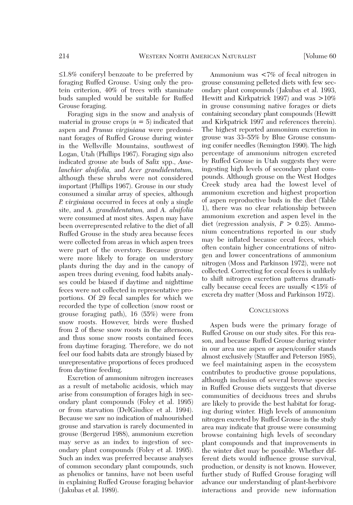≤1.8% coniferyl benzoate to be preferred by foraging Ruffed Grouse. Using only the protein criterion, 40% of trees with staminate buds sampled would be suitable for Ruffed Grouse foraging.

Foraging sign in the snow and analysis of material in grouse crops  $(n = 5)$  indicated that aspen and *Prunus virginiana* were predominant forages of Ruffed Grouse during winter in the Wellsville Mountains, southwest of Logan, Utah (Phillips 1967). Foraging sign also indicated grouse ate buds of *Salix* spp., *Amelanchier alnifolia,* and *Acer grandidentatum,* although these shrubs were not considered important (Phillips 1967). Grouse in our study consumed a similar array of species, although *P. virginiana* occurred in feces at only a single site, and *A. grandidentatum,* and *A. alnifolia* were consumed at most sites. Aspen may have been overrepresented relative to the diet of all Ruffed Grouse in the study area because feces were collected from areas in which aspen trees were part of the overstory. Because grouse were more likely to forage on understory plants during the day and in the canopy of aspen trees during evening, food habits analyses could be biased if daytime and nighttime feces were not collected in representative proportions. Of 29 fecal samples for which we recorded the type of collection (snow roost or grouse foraging path), 16 (55%) were from snow roosts. However, birds were flushed from 2 of these snow roosts in the afternoon, and thus some snow roosts contained feces from daytime foraging. Therefore, we do not feel our food habits data are strongly biased by unrepresentative proportions of feces produced from daytime feeding.

Excretion of ammonium nitrogen increases as a result of metabolic acidosis, which may arise from consumption of forages high in secondary plant compounds (Foley et al. 1995) or from starvation (DelGiudice et al. 1994). Because we saw no indication of malnourished grouse and starvation is rarely documented in grouse (Bergerud 1988), ammonium excretion may serve as an index to ingestion of secondary plant compounds (Foley et al. 1995). Such an index was preferred because analyses of common secondary plant compounds, such as phenolics or tannins, have not been useful in explaining Ruffed Grouse foraging behavior (Jakubas et al. 1989).

Ammonium was <7% of fecal nitrogen in grouse consuming pelleted diets with few secondary plant compounds (Jakubas et al. 1993, Hewitt and Kirkpatrick 1997) and was >10% in grouse consuming native forages or diets containing secondary plant compounds (Hewitt and Kirkpatrick 1997 and references therein). The highest reported ammonium excretion in grouse was 33–55% by Blue Grouse consuming conifer needles (Remington 1990). The high percentage of ammonium nitrogen excreted by Ruffed Grouse in Utah suggests they were ingesting high levels of secondary plant compounds. Although grouse on the West Hodges Creek study area had the lowest level of ammonium excretion and highest proportion of aspen reproductive buds in the diet (Table 1), there was no clear relationship between ammonium excretion and aspen level in the diet (regression analysis, *P* > 0.25). Ammonium concentrations reported in our study may be inflated because cecal feces, which often contain higher concentrations of nitrogen and lower concentrations of ammonium nitrogen (Moss and Parkinson 1972), were not collected. Correcting for cecal feces is unlikely to shift nitrogen excretion patterns dramatically because cecal feces are usually <15% of excreta dry matter (Moss and Parkinson 1972).

### **CONCLUSIONS**

Aspen buds were the primary forage of Ruffed Grouse on our study sites. For this reason, and because Ruffed Grouse during winter in our area use aspen or aspen/conifer stands almost exclusively (Stauffer and Peterson 1985), we feel maintaining aspen in the ecosystem contributes to productive grouse populations, although inclusion of several browse species in Ruffed Grouse diets suggests that diverse communities of deciduous trees and shrubs are likely to provide the best habitat for foraging during winter. High levels of ammonium nitrogen excreted by Ruffed Grouse in the study area may indicate that grouse were consuming browse containing high levels of secondary plant compounds and that improvements in the winter diet may be possible. Whether different diets would influence grouse survival, production, or density is not known. However, further study of Ruffed Grouse foraging will advance our understanding of plant-herbivore interactions and provide new information